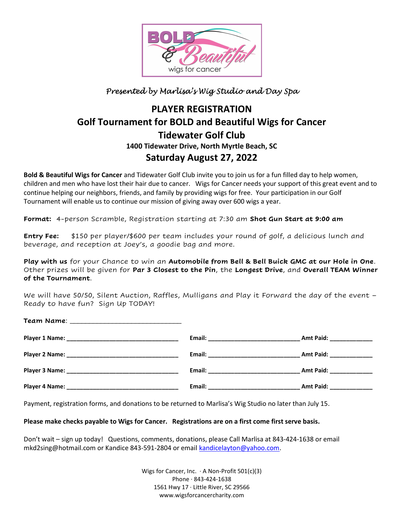

## Presented by Marlisa's Wig Studio and Day Spa

# PLAYER REGISTRATION Golf Tournament for BOLD and Beautiful Wigs for Cancer Tidewater Golf Club 1400 Tidewater Drive, North Myrtle Beach, SC Saturday August 27, 2022

Bold & Beautiful Wigs for Cancer and Tidewater Golf Club invite you to join us for a fun filled day to help women, children and men who have lost their hair due to cancer. Wigs for Cancer needs your support of this great event and to continue helping our neighbors, friends, and family by providing wigs for free. Your participation in our Golf Tournament will enable us to continue our mission of giving away over 600 wigs a year.

Format: 4-person Scramble, Registration starting at 7:30 am Shot Gun Start at 9:00 am

**Entry Fee:** \$150 per player/\$600 per team includes your round of golf, a delicious lunch and beverage, and reception at Joey's, a goodie bag and more.

Play with us for your Chance to win an Automobile from Bell & Bell Buick GMC at our Hole in One. Other prizes will be given for Par 3 Closest to the Pin, the Longest Drive, and Overall TEAM Winner of the Tournament.

We will have 50/50, Silent Auction, Raffles, Mulligans and Play it Forward the day of the event -Ready to have fun? Sign Up TODAY!

| Team Name: __________________________________ |                                           |
|-----------------------------------------------|-------------------------------------------|
|                                               | Amt Paid: _____________                   |
|                                               | Amt Paid: ______________                  |
|                                               | Amt Paid: <u>New York Bander and Paid</u> |
|                                               | Amt Paid: 1994                            |

Payment, registration forms, and donations to be returned to Marlisa's Wig Studio no later than July 15.

### Please make checks payable to Wigs for Cancer. Registrations are on a first come first serve basis.

Don't wait – sign up today! Questions, comments, donations, please Call Marlisa at 843-424-1638 or email mkd2sing@hotmail.com or Kandice 843-591-2804 or email kandicelayton@yahoo.com.

> Wigs for Cancer, Inc.  $\cdot$  A Non-Profit 501(c)(3) Phone · 843-424-1638 1561 Hwy 17 · Little River, SC 29566 www.wigsforcancercharity.com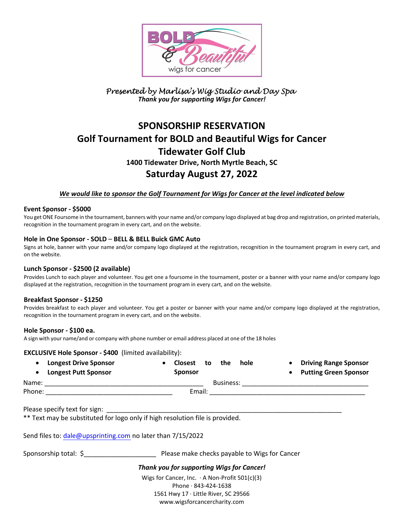

### Presented by Marlisa's Wig Studio and Day Spa Thank you for supporting Wigs for Cancer!

# SPONSORSHIP RESERVATION Golf Tournament for BOLD and Beautiful Wigs for Cancer Tidewater Golf Club 1400 Tidewater Drive, North Myrtle Beach, SC Saturday August 27, 2022

### We would like to sponsor the Golf Tournament for Wigs for Cancer at the level indicated below

#### Event Sponsor - \$5000

You get ONE Foursome in the tournament, banners with your name and/or company logo displayed at bag drop and registration, on printed materials, recognition in the tournament program in every cart, and on the website.

#### Hole in One Sponsor - SOLD – BELL & BELL Buick GMC Auto

Signs at hole, banner with your name and/or company logo displayed at the registration, recognition in the tournament program in every cart, and on the website.

#### Lunch Sponsor - \$2500 (2 available)

Provides Lunch to each player and volunteer. You get one a foursome in the tournament, poster or a banner with your name and/or company logo displayed at the registration, recognition in the tournament program in every cart, and on the website.

#### Breakfast Sponsor - \$1250

Provides breakfast to each player and volunteer. You get a poster or banner with your name and/or company logo displayed at the registration, recognition in the tournament program in every cart, and on the website.

#### Hole Sponsor - \$100 ea.

A sign with your name/and or company with phone number or email address placed at one of the 18 holes

#### EXCLUSIVE Hole Sponsor - \$400 (limited availability):

|        | <b>Longest Drive Sponsor</b><br><b>Longest Putt Sponsor</b> | <b>Closest</b><br><b>Sponsor</b> | to | the       | hole | <b>Driving Range Sponsor</b><br><b>Putting Green Sponsor</b> |
|--------|-------------------------------------------------------------|----------------------------------|----|-----------|------|--------------------------------------------------------------|
| Name:  |                                                             |                                  |    | Business: |      |                                                              |
| Phone: |                                                             | Email:                           |    |           |      |                                                              |

Please specify text for sign:

\*\* Text may be substituted for logo only if high resolution file is provided.

Send files to: dale@upsprinting.com no later than 7/15/2022

Sponsorship total: \$\_\_\_\_\_\_\_\_\_\_\_\_\_\_\_\_\_\_\_\_ Please make checks payable to Wigs for Cancer

#### Thank you for supporting Wigs for Cancer!

Wigs for Cancer, Inc. · A Non-Profit 501(c)(3) Phone · 843-424-1638 1561 Hwy 17 · Little River, SC 29566 www.wigsforcancercharity.com